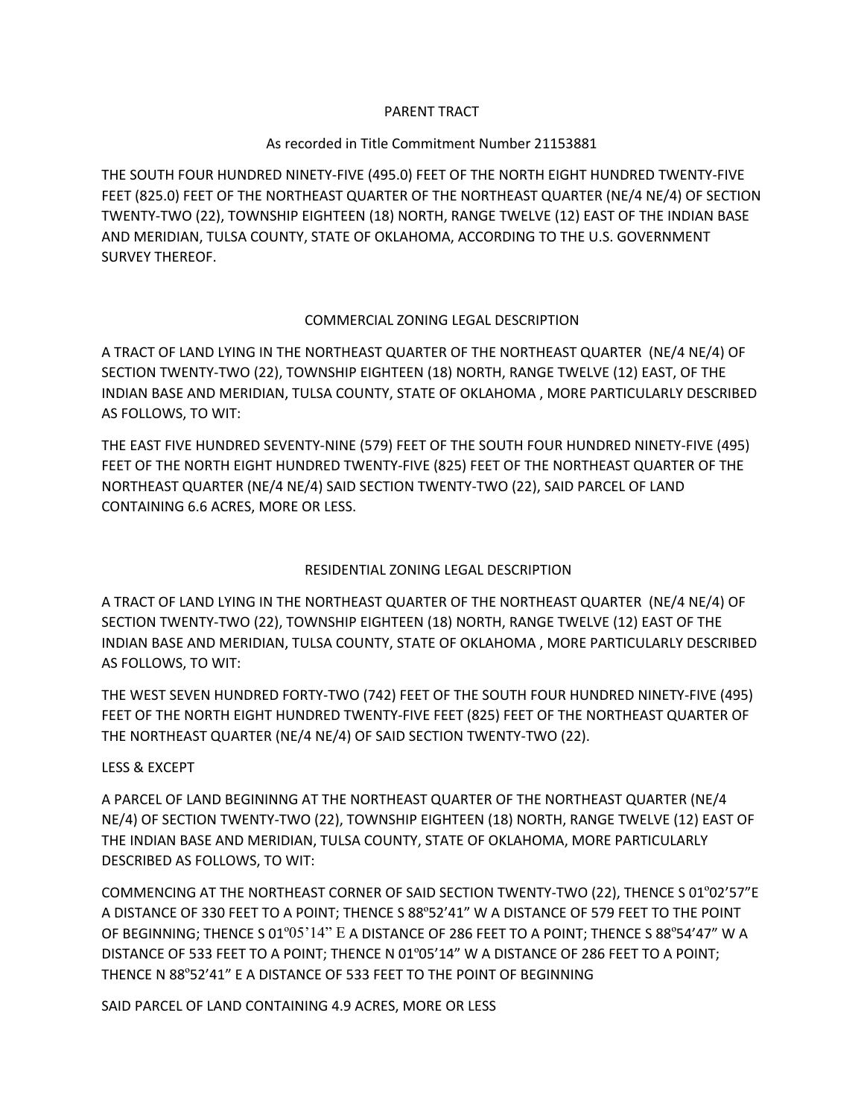#### PARENT TRACT

### As recorded in Title Commitment Number 21153881

THE SOUTH FOUR HUNDRED NINETY‐FIVE (495.0) FEET OF THE NORTH EIGHT HUNDRED TWENTY‐FIVE FEET (825.0) FEET OF THE NORTHEAST QUARTER OF THE NORTHEAST QUARTER (NE/4 NE/4) OF SECTION TWENTY‐TWO (22), TOWNSHIP EIGHTEEN (18) NORTH, RANGE TWELVE (12) EAST OF THE INDIAN BASE AND MERIDIAN, TULSA COUNTY, STATE OF OKLAHOMA, ACCORDING TO THE U.S. GOVERNMENT SURVEY THEREOF.

# COMMERCIAL ZONING LEGAL DESCRIPTION

A TRACT OF LAND LYING IN THE NORTHEAST QUARTER OF THE NORTHEAST QUARTER (NE/4 NE/4) OF SECTION TWENTY‐TWO (22), TOWNSHIP EIGHTEEN (18) NORTH, RANGE TWELVE (12) EAST, OF THE INDIAN BASE AND MERIDIAN, TULSA COUNTY, STATE OF OKLAHOMA , MORE PARTICULARLY DESCRIBED AS FOLLOWS, TO WIT:

THE EAST FIVE HUNDRED SEVENTY‐NINE (579) FEET OF THE SOUTH FOUR HUNDRED NINETY‐FIVE (495) FEET OF THE NORTH EIGHT HUNDRED TWENTY‐FIVE (825) FEET OF THE NORTHEAST QUARTER OF THE NORTHEAST QUARTER (NE/4 NE/4) SAID SECTION TWENTY‐TWO (22), SAID PARCEL OF LAND CONTAINING 6.6 ACRES, MORE OR LESS.

# RESIDENTIAL ZONING LEGAL DESCRIPTION

A TRACT OF LAND LYING IN THE NORTHEAST QUARTER OF THE NORTHEAST QUARTER (NE/4 NE/4) OF SECTION TWENTY‐TWO (22), TOWNSHIP EIGHTEEN (18) NORTH, RANGE TWELVE (12) EAST OF THE INDIAN BASE AND MERIDIAN, TULSA COUNTY, STATE OF OKLAHOMA , MORE PARTICULARLY DESCRIBED AS FOLLOWS, TO WIT:

THE WEST SEVEN HUNDRED FORTY‐TWO (742) FEET OF THE SOUTH FOUR HUNDRED NINETY‐FIVE (495) FEET OF THE NORTH EIGHT HUNDRED TWENTY‐FIVE FEET (825) FEET OF THE NORTHEAST QUARTER OF THE NORTHEAST QUARTER (NE/4 NE/4) OF SAID SECTION TWENTY‐TWO (22).

#### LESS & EXCEPT

A PARCEL OF LAND BEGININNG AT THE NORTHEAST QUARTER OF THE NORTHEAST QUARTER (NE/4 NE/4) OF SECTION TWENTY‐TWO (22), TOWNSHIP EIGHTEEN (18) NORTH, RANGE TWELVE (12) EAST OF THE INDIAN BASE AND MERIDIAN, TULSA COUNTY, STATE OF OKLAHOMA, MORE PARTICULARLY DESCRIBED AS FOLLOWS, TO WIT:

COMMENCING AT THE NORTHEAST CORNER OF SAID SECTION TWENTY‐TWO (22), THENCE S 01º02'57"E A DISTANCE OF 330 FEET TO A POINT; THENCE S 88º52'41" W A DISTANCE OF 579 FEET TO THE POINT OF BEGINNING; THENCE S 01º05'14" E A DISTANCE OF 286 FEET TO A POINT; THENCE S 88º54'47" W A DISTANCE OF 533 FEET TO A POINT; THENCE N 01º05'14" W A DISTANCE OF 286 FEET TO A POINT; THENCE N 88º52'41" E A DISTANCE OF 533 FEET TO THE POINT OF BEGINNING

SAID PARCEL OF LAND CONTAINING 4.9 ACRES, MORE OR LESS